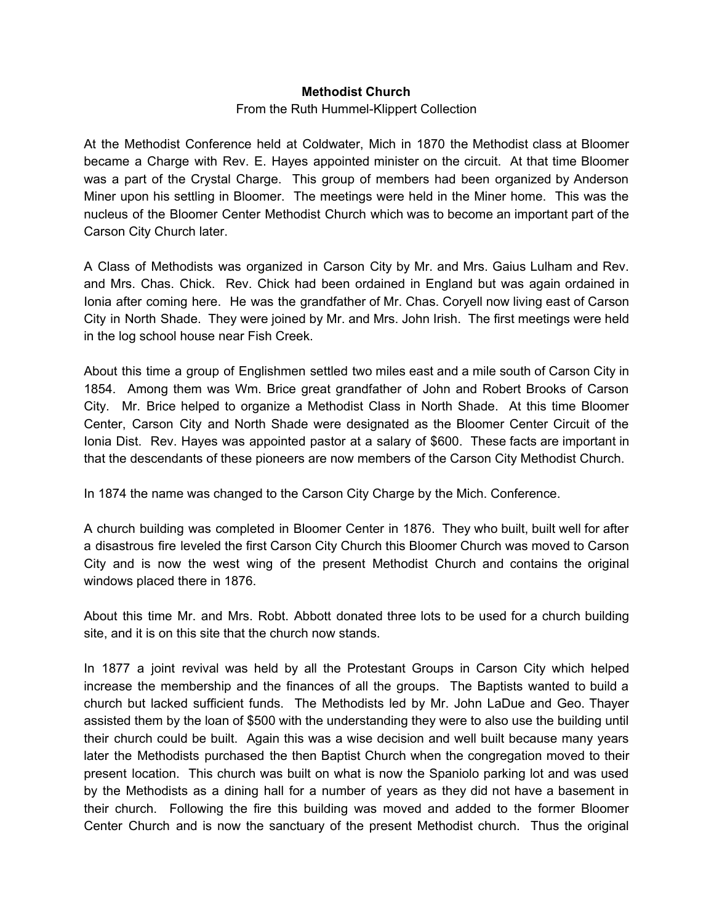#### **Methodist Church**

#### From the Ruth Hummel-Klippert Collection

At the Methodist Conference held at Coldwater, Mich in 1870 the Methodist class at Bloomer became a Charge with Rev. E. Hayes appointed minister on the circuit. At that time Bloomer was a part of the Crystal Charge. This group of members had been organized by Anderson Miner upon his settling in Bloomer. The meetings were held in the Miner home. This was the nucleus of the Bloomer Center Methodist Church which was to become an important part of the Carson City Church later.

A Class of Methodists was organized in Carson City by Mr. and Mrs. Gaius Lulham and Rev. and Mrs. Chas. Chick. Rev. Chick had been ordained in England but was again ordained in Ionia after coming here. He was the grandfather of Mr. Chas. Coryell now living east of Carson City in North Shade. They were joined by Mr. and Mrs. John Irish. The first meetings were held in the log school house near Fish Creek.

About this time a group of Englishmen settled two miles east and a mile south of Carson City in 1854. Among them was Wm. Brice great grandfather of John and Robert Brooks of Carson City. Mr. Brice helped to organize a Methodist Class in North Shade. At this time Bloomer Center, Carson City and North Shade were designated as the Bloomer Center Circuit of the Ionia Dist. Rev. Hayes was appointed pastor at a salary of \$600. These facts are important in that the descendants of these pioneers are now members of the Carson City Methodist Church.

In 1874 the name was changed to the Carson City Charge by the Mich. Conference.

A church building was completed in Bloomer Center in 1876. They who built, built well for after a disastrous fire leveled the first Carson City Church this Bloomer Church was moved to Carson City and is now the west wing of the present Methodist Church and contains the original windows placed there in 1876.

About this time Mr. and Mrs. Robt. Abbott donated three lots to be used for a church building site, and it is on this site that the church now stands.

In 1877 a joint revival was held by all the Protestant Groups in Carson City which helped increase the membership and the finances of all the groups. The Baptists wanted to build a church but lacked sufficient funds. The Methodists led by Mr. John LaDue and Geo. Thayer assisted them by the loan of \$500 with the understanding they were to also use the building until their church could be built. Again this was a wise decision and well built because many years later the Methodists purchased the then Baptist Church when the congregation moved to their present location. This church was built on what is now the Spaniolo parking lot and was used by the Methodists as a dining hall for a number of years as they did not have a basement in their church. Following the fire this building was moved and added to the former Bloomer Center Church and is now the sanctuary of the present Methodist church. Thus the original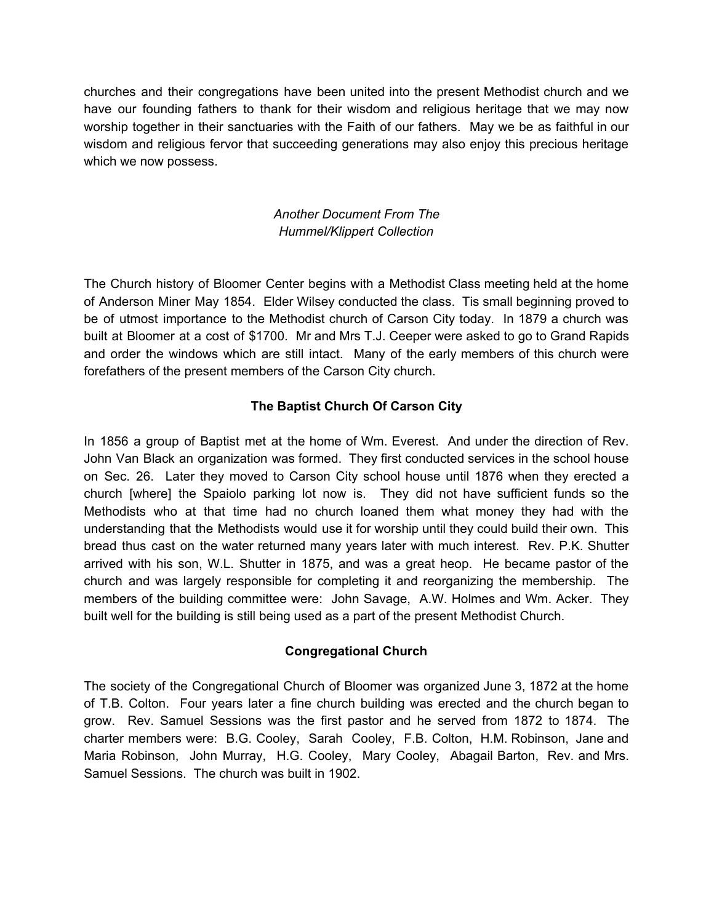churches and their congregations have been united into the present Methodist church and we have our founding fathers to thank for their wisdom and religious heritage that we may now worship together in their sanctuaries with the Faith of our fathers. May we be as faithful in our wisdom and religious fervor that succeeding generations may also enjoy this precious heritage which we now possess.

# *Another Document From The Hummel/Klippert Collection*

The Church history of Bloomer Center begins with a Methodist Class meeting held at the home of Anderson Miner May 1854. Elder Wilsey conducted the class. Tis small beginning proved to be of utmost importance to the Methodist church of Carson City today. In 1879 a church was built at Bloomer at a cost of \$1700. Mr and Mrs T.J. Ceeper were asked to go to Grand Rapids and order the windows which are still intact. Many of the early members of this church were forefathers of the present members of the Carson City church.

## **The Baptist Church Of Carson City**

In 1856 a group of Baptist met at the home of Wm. Everest. And under the direction of Rev. John Van Black an organization was formed. They first conducted services in the school house on Sec. 26. Later they moved to Carson City school house until 1876 when they erected a church [where] the Spaiolo parking lot now is. They did not have sufficient funds so the Methodists who at that time had no church loaned them what money they had with the understanding that the Methodists would use it for worship until they could build their own. This bread thus cast on the water returned many years later with much interest. Rev. P.K. Shutter arrived with his son, W.L. Shutter in 1875, and was a great heop. He became pastor of the church and was largely responsible for completing it and reorganizing the membership. The members of the building committee were: John Savage, A.W. Holmes and Wm. Acker. They built well for the building is still being used as a part of the present Methodist Church.

## **Congregational Church**

The society of the Congregational Church of Bloomer was organized June 3, 1872 at the home of T.B. Colton. Four years later a fine church building was erected and the church began to grow. Rev. Samuel Sessions was the first pastor and he served from 1872 to 1874. The charter members were: B.G. Cooley, Sarah Cooley, F.B. Colton, H.M. Robinson, Jane and Maria Robinson, John Murray, H.G. Cooley, Mary Cooley, Abagail Barton, Rev. and Mrs. Samuel Sessions. The church was built in 1902.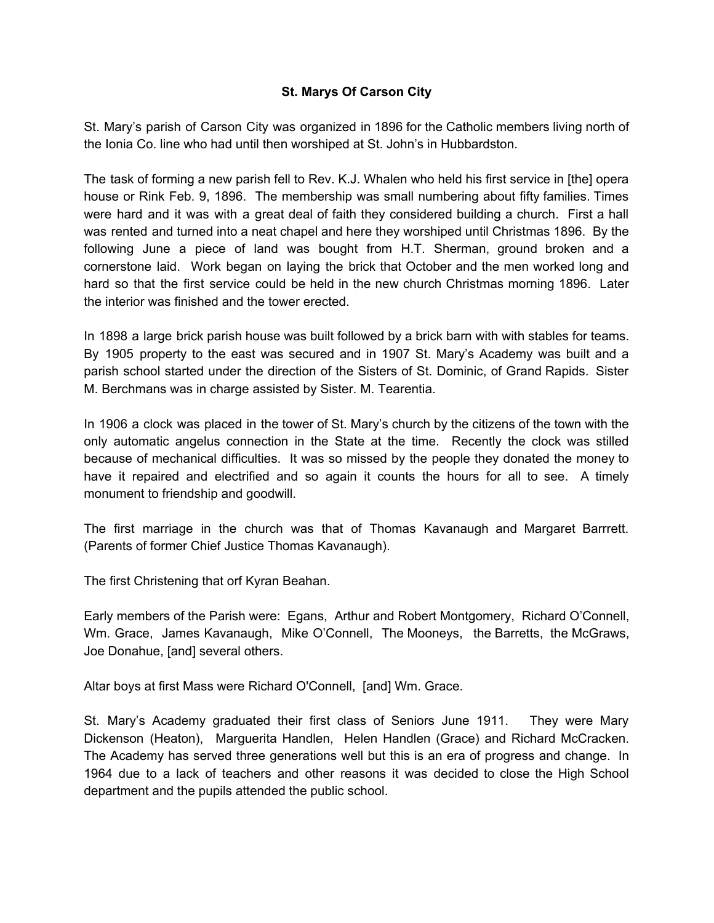### **St. Marys Of Carson City**

St. Mary's parish of Carson City was organized in 1896 for the Catholic members living north of the Ionia Co. line who had until then worshiped at St. John's in Hubbardston.

The task of forming a new parish fell to Rev. K.J. Whalen who held his first service in [the] opera house or Rink Feb. 9, 1896. The membership was small numbering about fifty families. Times were hard and it was with a great deal of faith they considered building a church. First a hall was rented and turned into a neat chapel and here they worshiped until Christmas 1896. By the following June a piece of land was bought from H.T. Sherman, ground broken and a cornerstone laid. Work began on laying the brick that October and the men worked long and hard so that the first service could be held in the new church Christmas morning 1896. Later the interior was finished and the tower erected.

In 1898 a large brick parish house was built followed by a brick barn with with stables for teams. By 1905 property to the east was secured and in 1907 St. Mary's Academy was built and a parish school started under the direction of the Sisters of St. Dominic, of Grand Rapids. Sister M. Berchmans was in charge assisted by Sister. M. Tearentia.

In 1906 a clock was placed in the tower of St. Mary's church by the citizens of the town with the only automatic angelus connection in the State at the time. Recently the clock was stilled because of mechanical difficulties. It was so missed by the people they donated the money to have it repaired and electrified and so again it counts the hours for all to see. A timely monument to friendship and goodwill.

The first marriage in the church was that of Thomas Kavanaugh and Margaret Barrrett. (Parents of former Chief Justice Thomas Kavanaugh).

The first Christening that orf Kyran Beahan.

Early members of the Parish were: Egans, Arthur and Robert Montgomery, Richard O'Connell, Wm. Grace, James Kavanaugh, Mike O'Connell, The Mooneys, the Barretts, the McGraws, Joe Donahue, [and] several others.

Altar boys at first Mass were Richard O'Connell, [and] Wm. Grace.

St. Mary's Academy graduated their first class of Seniors June 1911. They were Mary Dickenson (Heaton), Marguerita Handlen, Helen Handlen (Grace) and Richard McCracken. The Academy has served three generations well but this is an era of progress and change. In 1964 due to a lack of teachers and other reasons it was decided to close the High School department and the pupils attended the public school.